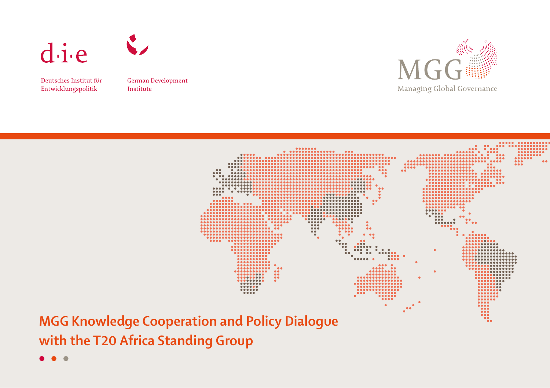

Deutsches Institut für Entwicklungspolitik

German Development Institute

 $\sim$ 





**MGG Knowledge Cooperation and Policy Dialogue with the T20 Africa Standing Group**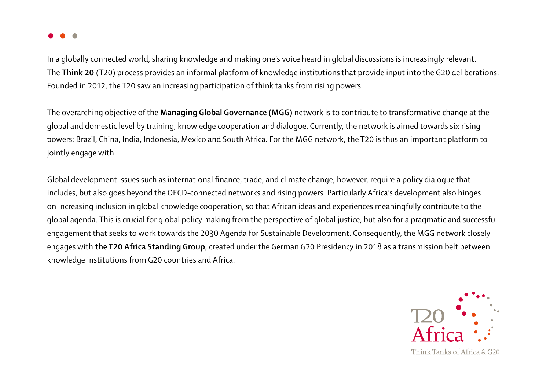

In a globally connected world, sharing knowledge and making one's voice heard in global discussions is increasingly relevant. The **Think 20** (T20) process provides an informal platform of knowledge institutions that provide input into the G20 deliberations. Founded in 2012, the T20 saw an increasing participation of think tanks from rising powers.

The overarching objective of the **Managing Global Governance (MGG)** network is to contribute to transformative change at the global and domestic level by training, knowledge cooperation and dialogue. Currently, the network is aimed towards six rising powers: Brazil, China, India, Indonesia, Mexico and South Africa. For the MGG network, the T20 is thus an important platform to jointly engage with.

Global development issues such as international finance, trade, and climate change, however, require a policy dialogue that includes, but also goes beyond the OECD-connected networks and rising powers. Particularly Africa's development also hinges on increasing inclusion in global knowledge cooperation, so that African ideas and experiences meaningfully contribute to the global agenda. This is crucial for global policy making from the perspective of global justice, but also for a pragmatic and successful engagement that seeks to work towards the 2030 Agenda for Sustainable Development. Consequently, the MGG network closely engages with **the T20 Africa Standing Group**, created under the German G20 Presidency in 2018 as a transmission belt between knowledge institutions from G20 countries and Africa.



Think Tanks of Africa & G20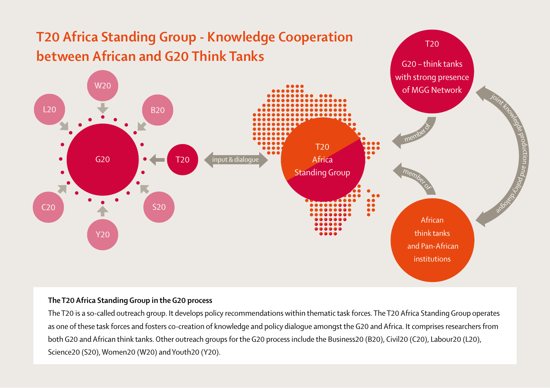

## **The T20 Africa Standing Group in the G20 process**

The T20 is a so-called outreach group. It develops policy recommendations within thematic task forces. The T20 Africa Standing Group operates as one of these task forces and fosters co-creation of knowledge and policy dialogue amongst the G20 and Africa. It comprises researchers from both G20 and African think tanks. Other outreach groups for the G20 process include the Business20 (B20), Civil20 (C20), Labour20 (L20), Science20 (S20), Women20 (W20) and Youth20 (Y20).